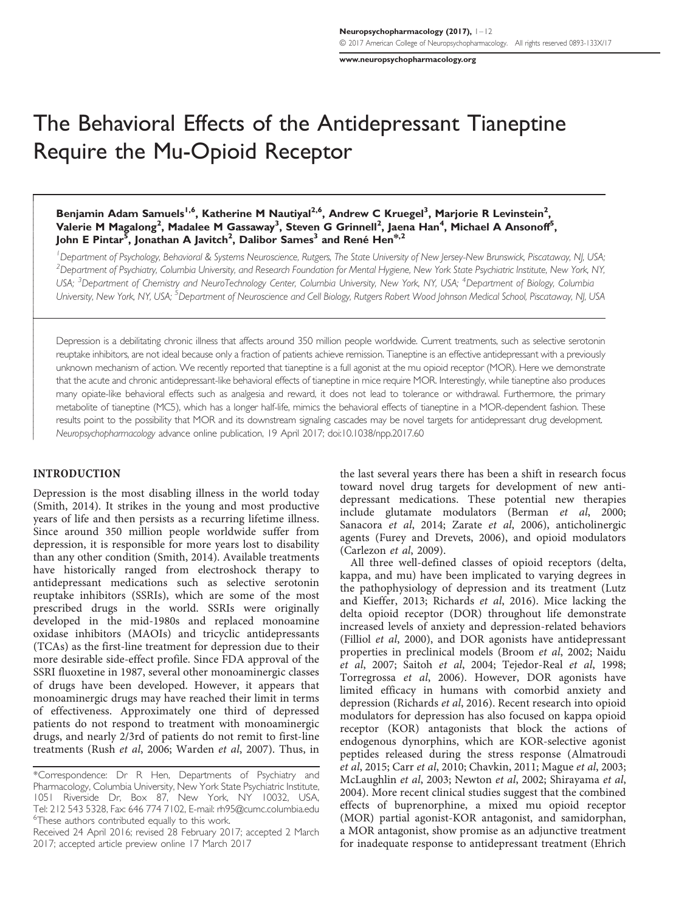[www.neuropsychopharmacology.org](http://www.neuropsychopharmacology.org)

# The Behavioral Effects of the Antidepressant Tianeptine Require the Mu-Opioid Receptor

Benjamin Adam Samuels<sup>1,6</sup>, Katherine M Nautiyal<sup>2,6</sup>, Andrew C Kruegel<sup>3</sup>, Marjorie R Levinstein<sup>2</sup>, Valerie M Magalong<sup>2</sup>, Madalee M Gassaway<sup>3</sup>, Steven G Grinnell<sup>2</sup>, Jaena Han<sup>4</sup>, Michael A Ansonoff<sup>5</sup>, John E Pintar<sup>5</sup>, Jonathan A Javitch<sup>2</sup>, Dalibor Sames<sup>3</sup> and René Hen<sup>\*,2</sup>

<sup>1</sup> Department of Psychology, Behavioral & Systems Neuroscience, Rutgers, The State University of New Jersey-New Brunswick, Piscataway, NJ, USA, <sup>2</sup>Department of Psychiatry, Columbia University, and Research Foundation for Mental Hygiene, New York State Psychiatric Institute, New York, NY, USA; <sup>3</sup>Department of Chemistry and NeuroTechnology Center, Columbia University, New York, NY, USA; <sup>4</sup>Department of Biology, Columbia University, New York, NY, USA; <sup>5</sup>Department of Neuroscience and Cell Biology, Rutgers Robert Wood Johnson Medical School, Piscataway, NJ, USA

Depression is a debilitating chronic illness that affects around 350 million people worldwide. Current treatments, such as selective serotonin reuptake inhibitors, are not ideal because only a fraction of patients achieve remission. Tianeptine is an effective antidepressant with a previously unknown mechanism of action. We recently reported that tianeptine is a full agonist at the mu opioid receptor (MOR). Here we demonstrate that the acute and chronic antidepressant-like behavioral effects of tianeptine in mice require MOR. Interestingly, while tianeptine also produces many opiate-like behavioral effects such as analgesia and reward, it does not lead to tolerance or withdrawal. Furthermore, the primary metabolite of tianeptine (MC5), which has a longer half-life, mimics the behavioral effects of tianeptine in a MOR-dependent fashion. These results point to the possibility that MOR and its downstream signaling cascades may be novel targets for antidepressant drug development. Neuropsychopharmacology advance online publication, 19 April 2017; doi[:10.1038/npp.2017.60](http://dx.doi.org/10.1038/npp.2017.60)

# INTRODUCTION

ſ

ļ İ

 $\mid$ 

Depression is the most disabling illness in the world today [\(Smith, 2014\)](#page-11-0). It strikes in the young and most productive years of life and then persists as a recurring lifetime illness. Since around 350 million people worldwide suffer from depression, it is responsible for more years lost to disability than any other condition ([Smith, 2014\)](#page-11-0). Available treatments have historically ranged from electroshock therapy to antidepressant medications such as selective serotonin reuptake inhibitors (SSRIs), which are some of the most prescribed drugs in the world. SSRIs were originally developed in the mid-1980s and replaced monoamine oxidase inhibitors (MAOIs) and tricyclic antidepressants (TCAs) as the first-line treatment for depression due to their more desirable side-effect profile. Since FDA approval of the SSRI fluoxetine in 1987, several other monoaminergic classes of drugs have been developed. However, it appears that monoaminergic drugs may have reached their limit in terms of effectiveness. Approximately one third of depressed patients do not respond to treatment with monoaminergic drugs, and nearly 2/3rd of patients do not remit to first-line treatments (Rush et al[, 2006; Warden](#page-11-0) et al, 2007). Thus, in

the last several years there has been a shift in research focus toward novel drug targets for development of new antidepressant medications. These potential new therapies include glutamate modulators ([Berman](#page-10-0) et al, 2000; [Sanacora](#page-11-0) et al, 2014; Zarate et al[, 2006\)](#page-11-0), anticholinergic agents ([Furey and Drevets, 2006](#page-10-0)), and opioid modulators [\(Carlezon](#page-10-0) et al, 2009).

All three well-defined classes of opioid receptors (delta, kappa, and mu) have been implicated to varying degrees in the pathophysiology of depression and its treatment ([Lutz](#page-11-0) [and Kieffer, 2013; Richards](#page-11-0) et al, 2016). Mice lacking the delta opioid receptor (DOR) throughout life demonstrate increased levels of anxiety and depression-related behaviors (Filliol et al[, 2000\)](#page-10-0), and DOR agonists have antidepressant properties in preclinical models [\(Broom](#page-10-0) et al, 2002; [Naidu](#page-11-0) et al[, 2007;](#page-11-0) Saitoh et al[, 2004; Tejedor-Real](#page-11-0) et al, 1998; [Torregrossa](#page-11-0) et al, 2006). However, DOR agonists have limited efficacy in humans with comorbid anxiety and depression [\(Richards](#page-11-0) et al, 2016). Recent research into opioid modulators for depression has also focused on kappa opioid receptor (KOR) antagonists that block the actions of endogenous dynorphins, which are KOR-selective agonist peptides released during the stress response [\(Almatroudi](#page-10-0) et al[, 2015;](#page-10-0) Carr et al[, 2010](#page-10-0); [Chavkin, 2011](#page-10-0); [Mague](#page-11-0) et al, 2003; [McLaughlin](#page-11-0) et al, 2003; [Newton](#page-11-0) et al, 2002; [Shirayama](#page-11-0) et al, [2004\)](#page-11-0). More recent clinical studies suggest that the combined effects of buprenorphine, a mixed mu opioid receptor (MOR) partial agonist-KOR antagonist, and samidorphan, a MOR antagonist, show promise as an adjunctive treatment for inadequate response to antidepressant treatment ([Ehrich](#page-10-0)

<sup>\*</sup>Correspondence: Dr R Hen, Departments of Psychiatry and Pharmacology, Columbia University, New York State Psychiatric Institute, 1051 Riverside Dr, Box 87, New York, NY 10032, USA, Tel: 212 543 5328, Fax: 646 774 7102, E-mail: [rh95@cumc.columbia.edu](mailto:rh95@cumc.columbia.edu) <sup>6</sup>These authors contributed equally to this work.

Received 24 April 2016; revised 28 February 2017; accepted 2 March 2017; accepted article preview online 17 March 2017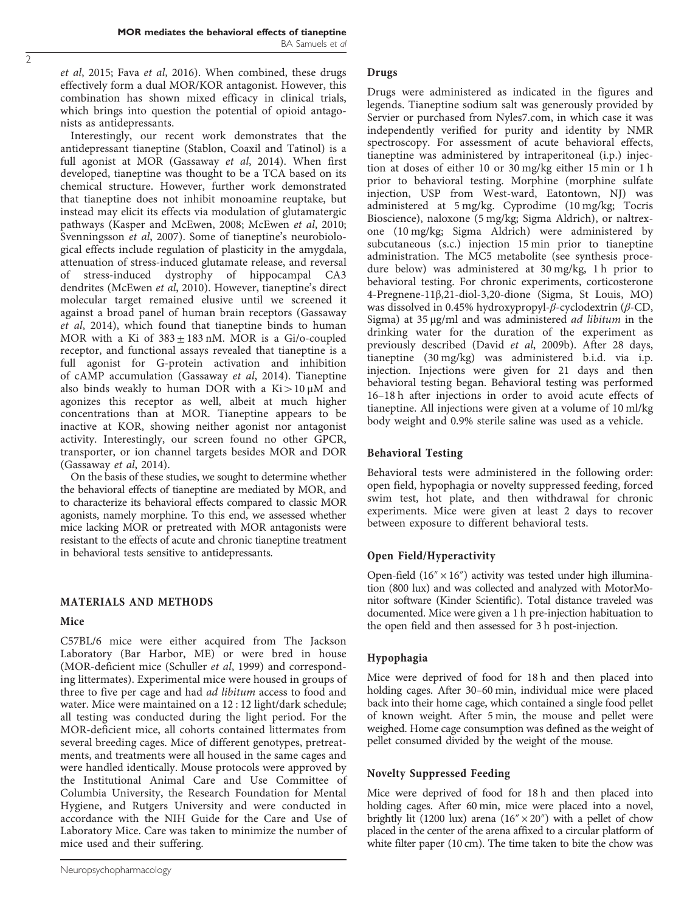et al[, 2015;](#page-10-0) Fava et al[, 2016](#page-10-0)). When combined, these drugs effectively form a dual MOR/KOR antagonist. However, this combination has shown mixed efficacy in clinical trials, which brings into question the potential of opioid antagonists as antidepressants.

Interestingly, our recent work demonstrates that the antidepressant tianeptine (Stablon, Coaxil and Tatinol) is a full agonist at MOR [\(Gassaway](#page-10-0) et al, 2014). When first developed, tianeptine was thought to be a TCA based on its chemical structure. However, further work demonstrated that tianeptine does not inhibit monoamine reuptake, but instead may elicit its effects via modulation of glutamatergic pathways ([Kasper and McEwen, 2008](#page-10-0); [McEwen](#page-11-0) et al, 2010; [Svenningsson](#page-11-0) et al, 2007). Some of tianeptine's neurobiological effects include regulation of plasticity in the amygdala, attenuation of stress-induced glutamate release, and reversal<br>of stress-induced dystrophy of hippocampal CA3 stress-induced dystrophy of hippocampal CA3 dendrites ([McEwen](#page-11-0) et al, 2010). However, tianeptine's direct molecular target remained elusive until we screened it against a broad panel of human brain receptors ([Gassaway](#page-10-0) et al[, 2014\)](#page-10-0), which found that tianeptine binds to human MOR with a Ki of  $383 \pm 183$  nM. MOR is a Gi/o-coupled receptor, and functional assays revealed that tianeptine is a full agonist for G-protein activation and inhibition of cAMP accumulation ([Gassaway](#page-10-0) et al, 2014). Tianeptine also binds weakly to human DOR with a  $Ki > 10 \mu M$  and agonizes this receptor as well, albeit at much higher concentrations than at MOR. Tianeptine appears to be inactive at KOR, showing neither agonist nor antagonist activity. Interestingly, our screen found no other GPCR, transporter, or ion channel targets besides MOR and DOR ([Gassaway](#page-10-0) et al, 2014).

On the basis of these studies, we sought to determine whether the behavioral effects of tianeptine are mediated by MOR, and to characterize its behavioral effects compared to classic MOR agonists, namely morphine. To this end, we assessed whether mice lacking MOR or pretreated with MOR antagonists were resistant to the effects of acute and chronic tianeptine treatment in behavioral tests sensitive to antidepressants.

#### MATERIALS AND METHODS

#### Mice

C57BL/6 mice were either acquired from The Jackson Laboratory (Bar Harbor, ME) or were bred in house (MOR-deficient mice ([Schuller](#page-11-0) et al, 1999) and corresponding littermates). Experimental mice were housed in groups of three to five per cage and had ad libitum access to food and water. Mice were maintained on a 12 : 12 light/dark schedule; all testing was conducted during the light period. For the MOR-deficient mice, all cohorts contained littermates from several breeding cages. Mice of different genotypes, pretreatments, and treatments were all housed in the same cages and were handled identically. Mouse protocols were approved by the Institutional Animal Care and Use Committee of Columbia University, the Research Foundation for Mental Hygiene, and Rutgers University and were conducted in accordance with the NIH Guide for the Care and Use of Laboratory Mice. Care was taken to minimize the number of mice used and their suffering.

#### Drugs

Drugs were administered as indicated in the figures and legends. Tianeptine sodium salt was generously provided by Servier or purchased from Nyles7.com, in which case it was independently verified for purity and identity by NMR spectroscopy. For assessment of acute behavioral effects, tianeptine was administered by intraperitoneal (i.p.) injection at doses of either 10 or 30 mg/kg either 15 min or 1 h prior to behavioral testing. Morphine (morphine sulfate injection, USP from West-ward, Eatontown, NJ) was administered at 5 mg/kg. Cyprodime (10 mg/kg; Tocris Bioscience), naloxone (5 mg/kg; Sigma Aldrich), or naltrexone (10 mg/kg; Sigma Aldrich) were administered by subcutaneous (s.c.) injection 15 min prior to tianeptine administration. The MC5 metabolite (see synthesis procedure below) was administered at 30 mg/kg, 1 h prior to behavioral testing. For chronic experiments, corticosterone 4-Pregnene-11β,21-diol-3,20-dione (Sigma, St Louis, MO) was dissolved in 0.45% hydroxypropyl-β-cyclodextrin (β-CD, Sigma) at 35 μg/ml and was administered ad libitum in the drinking water for the duration of the experiment as previously described (David et al[, 2009b](#page-10-0)). After 28 days, tianeptine (30 mg/kg) was administered b.i.d. via i.p. injection. Injections were given for 21 days and then behavioral testing began. Behavioral testing was performed 16–18 h after injections in order to avoid acute effects of tianeptine. All injections were given at a volume of 10 ml/kg body weight and 0.9% sterile saline was used as a vehicle.

#### Behavioral Testing

Behavioral tests were administered in the following order: open field, hypophagia or novelty suppressed feeding, forced swim test, hot plate, and then withdrawal for chronic experiments. Mice were given at least 2 days to recover between exposure to different behavioral tests.

## Open Field/Hyperactivity

Open-field  $(16'' \times 16'')$  activity was tested under high illumination (800 lux) and was collected and analyzed with MotorMonitor software (Kinder Scientific). Total distance traveled was documented. Mice were given a 1 h pre-injection habituation to the open field and then assessed for 3 h post-injection.

#### Hypophagia

Mice were deprived of food for 18 h and then placed into holding cages. After 30–60 min, individual mice were placed back into their home cage, which contained a single food pellet of known weight. After 5 min, the mouse and pellet were weighed. Home cage consumption was defined as the weight of pellet consumed divided by the weight of the mouse.

# Novelty Suppressed Feeding

Mice were deprived of food for 18 h and then placed into holding cages. After 60 min, mice were placed into a novel, brightly lit (1200 lux) arena (16" $\times$ 20") with a pellet of chow placed in the center of the arena affixed to a circular platform of white filter paper (10 cm). The time taken to bite the chow was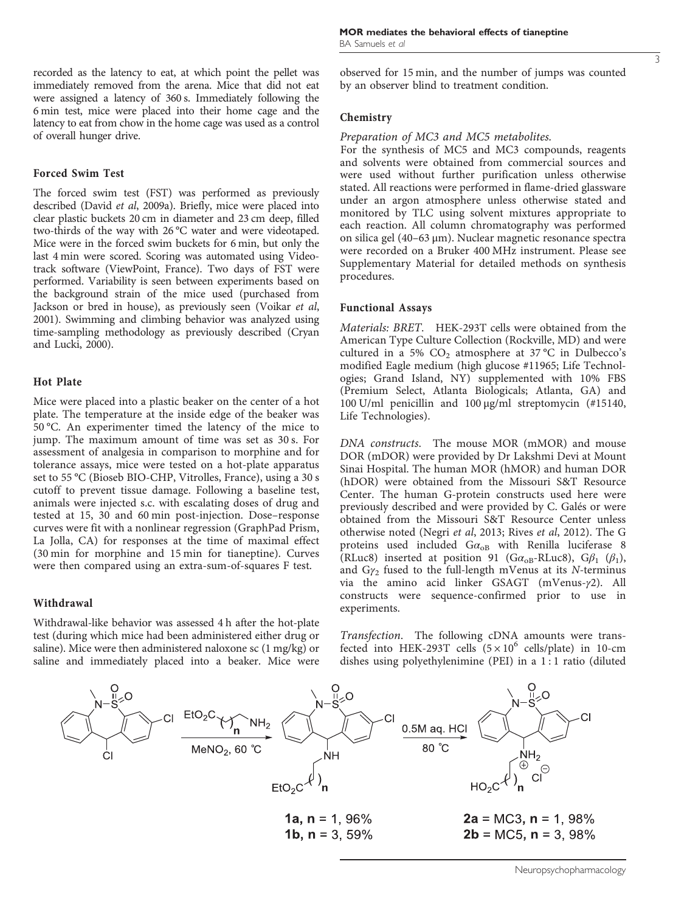recorded as the latency to eat, at which point the pellet was immediately removed from the arena. Mice that did not eat were assigned a latency of 360 s. Immediately following the 6 min test, mice were placed into their home cage and the latency to eat from chow in the home cage was used as a control of overall hunger drive.

## Forced Swim Test

The forced swim test (FST) was performed as previously described (David et al[, 2009a\)](#page-10-0). Briefly, mice were placed into clear plastic buckets 20 cm in diameter and 23 cm deep, filled two-thirds of the way with 26 °C water and were videotaped. Mice were in the forced swim buckets for 6 min, but only the last 4 min were scored. Scoring was automated using Videotrack software (ViewPoint, France). Two days of FST were performed. Variability is seen between experiments based on the background strain of the mice used (purchased from Jackson or bred in house), as previously seen [\(Voikar](#page-11-0) et al, [2001](#page-11-0)). Swimming and climbing behavior was analyzed using time-sampling methodology as previously described [\(Cryan](#page-10-0) [and Lucki, 2000\)](#page-10-0).

### Hot Plate

Mice were placed into a plastic beaker on the center of a hot plate. The temperature at the inside edge of the beaker was 50 °C. An experimenter timed the latency of the mice to jump. The maximum amount of time was set as 30 s. For assessment of analgesia in comparison to morphine and for tolerance assays, mice were tested on a hot-plate apparatus set to 55 °C (Bioseb BIO-CHP, Vitrolles, France), using a 30 s cutoff to prevent tissue damage. Following a baseline test, animals were injected s.c. with escalating doses of drug and tested at 15, 30 and 60 min post-injection. Dose–response curves were fit with a nonlinear regression (GraphPad Prism, La Jolla, CA) for responses at the time of maximal effect (30 min for morphine and 15 min for tianeptine). Curves were then compared using an extra-sum-of-squares F test.

# Withdrawal

Withdrawal-like behavior was assessed 4 h after the hot-plate test (during which mice had been administered either drug or saline). Mice were then administered naloxone sc (1 mg/kg) or saline and immediately placed into a beaker. Mice were observed for 15 min, and the number of jumps was counted by an observer blind to treatment condition.

## Chemistry

### Preparation of MC3 and MC5 metabolites.

For the synthesis of MC5 and MC3 compounds, reagents and solvents were obtained from commercial sources and were used without further purification unless otherwise stated. All reactions were performed in flame-dried glassware under an argon atmosphere unless otherwise stated and monitored by TLC using solvent mixtures appropriate to each reaction. All column chromatography was performed on silica gel (40–63 μm). Nuclear magnetic resonance spectra were recorded on a Bruker 400 MHz instrument. Please see Supplementary Material for detailed methods on synthesis procedures.

# Functional Assays

Materials: BRET. HEK-293T cells were obtained from the American Type Culture Collection (Rockville, MD) and were cultured in a 5%  $CO<sub>2</sub>$  atmosphere at 37 °C in Dulbecco's modified Eagle medium (high glucose #11965; Life Technologies; Grand Island, NY) supplemented with 10% FBS (Premium Select, Atlanta Biologicals; Atlanta, GA) and 100 U/ml penicillin and 100 μg/ml streptomycin (#15140, Life Technologies).

DNA constructs. The mouse MOR (mMOR) and mouse DOR (mDOR) were provided by Dr Lakshmi Devi at Mount Sinai Hospital. The human MOR (hMOR) and human DOR (hDOR) were obtained from the Missouri S&T Resource Center. The human G-protein constructs used here were previously described and were provided by C. Galés or were obtained from the Missouri S&T Resource Center unless otherwise noted (Negri et al[, 2013](#page-11-0); Rives et al[, 2012\)](#page-11-0). The G proteins used included  $Ga_{OB}$  with Renilla luciferase 8 (RLuc8) inserted at position 91 (G $\alpha_{\text{oB}}$ -RLuc8), G $\beta_1$  ( $\beta_1$ ), and  $Gy_2$  fused to the full-length mVenus at its N-terminus via the amino acid linker GSAGT (mVenus-γ2). All constructs were sequence-confirmed prior to use in experiments.

Transfection. The following cDNA amounts were transfected into HEK-293T cells  $(5 \times 10^6 \text{ cells/plate})$  in 10-cm dishes using polyethylenimine (PEI) in a 1:1 ratio (diluted

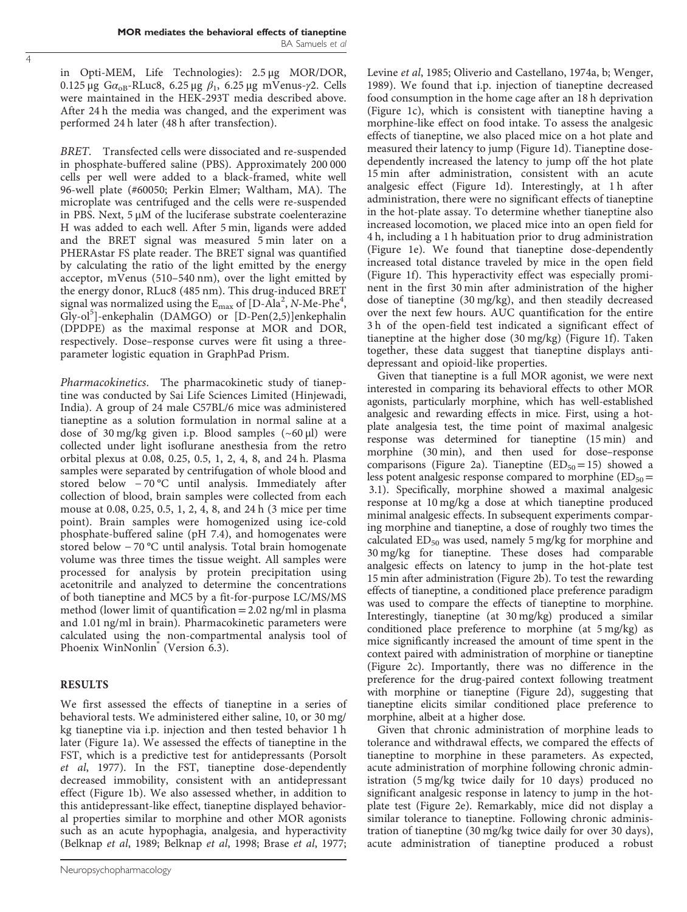in Opti-MEM, Life Technologies): 2.5 μg MOR/DOR, 0.125 μg Gα<sub>oB</sub>-RLuc8, 6.25 μg  $β_1$ , 6.25 μg mVenus-γ2. Cells were maintained in the HEK-293T media described above. After 24 h the media was changed, and the experiment was performed 24 h later (48 h after transfection).

BRET. Transfected cells were dissociated and re-suspended in phosphate-buffered saline (PBS). Approximately 200 000 cells per well were added to a black-framed, white well 96-well plate (#60050; Perkin Elmer; Waltham, MA). The microplate was centrifuged and the cells were re-suspended in PBS. Next, 5 μM of the luciferase substrate coelenterazine H was added to each well. After 5 min, ligands were added and the BRET signal was measured 5 min later on a PHERAstar FS plate reader. The BRET signal was quantified by calculating the ratio of the light emitted by the energy acceptor, mVenus (510–540 nm), over the light emitted by the energy donor, RLuc8 (485 nm). This drug-induced BRET signal was normalized using the  $E_{\text{max}}$  of [D-Ala<sup>2</sup>, N-Me-Phe<sup>4</sup>, Gly-ol<sup>5</sup>]-enkephalin (DAMGO) or [D-Pen(2,5)]enkephalin (DPDPE) as the maximal response at MOR and DOR, respectively. Dose–response curves were fit using a threeparameter logistic equation in GraphPad Prism.

Pharmacokinetics. The pharmacokinetic study of tianeptine was conducted by Sai Life Sciences Limited (Hinjewadi, India). A group of 24 male C57BL/6 mice was administered tianeptine as a solution formulation in normal saline at a dose of 30 mg/kg given i.p. Blood samples (~60 μl) were collected under light isoflurane anesthesia from the retro orbital plexus at 0.08, 0.25, 0.5, 1, 2, 4, 8, and 24 h. Plasma samples were separated by centrifugation of whole blood and stored below − 70 °C until analysis. Immediately after collection of blood, brain samples were collected from each mouse at 0.08, 0.25, 0.5, 1, 2, 4, 8, and 24 h (3 mice per time point). Brain samples were homogenized using ice-cold phosphate-buffered saline (pH 7.4), and homogenates were stored below − 70 °C until analysis. Total brain homogenate volume was three times the tissue weight. All samples were processed for analysis by protein precipitation using acetonitrile and analyzed to determine the concentrations of both tianeptine and MC5 by a fit-for-purpose LC/MS/MS method (lower limit of quantification  $= 2.02$  ng/ml in plasma and 1.01 ng/ml in brain). Pharmacokinetic parameters were calculated using the non-compartmental analysis tool of Phoenix WinNonlin<sup>®</sup> (Version 6.3).

# RESULTS

We first assessed the effects of tianeptine in a series of behavioral tests. We administered either saline, 10, or 30 mg/ kg tianeptine via i.p. injection and then tested behavior 1 h later ([Figure 1a](#page-4-0)). We assessed the effects of tianeptine in the FST, which is a predictive test for antidepressants ([Porsolt](#page-11-0) et al[, 1977\)](#page-11-0). In the FST, tianeptine dose-dependently decreased immobility, consistent with an antidepressant effect [\(Figure 1b\)](#page-4-0). We also assessed whether, in addition to this antidepressant-like effect, tianeptine displayed behavioral properties similar to morphine and other MOR agonists such as an acute hypophagia, analgesia, and hyperactivity ([Belknap](#page-10-0) et al, 1989; [Belknap](#page-10-0) et al, 1998; Brase et al[, 1977](#page-10-0);

[Levine](#page-11-0) et al, 1985; [Oliverio and Castellano, 1974a, b](#page-11-0); [Wenger,](#page-11-0) [1989](#page-11-0)). We found that i.p. injection of tianeptine decreased food consumption in the home cage after an 18 h deprivation ([Figure 1c\)](#page-4-0), which is consistent with tianeptine having a morphine-like effect on food intake. To assess the analgesic effects of tianeptine, we also placed mice on a hot plate and measured their latency to jump [\(Figure 1d\)](#page-4-0). Tianeptine dosedependently increased the latency to jump off the hot plate 15 min after administration, consistent with an acute analgesic effect [\(Figure 1d\)](#page-4-0). Interestingly, at 1 h after administration, there were no significant effects of tianeptine in the hot-plate assay. To determine whether tianeptine also increased locomotion, we placed mice into an open field for 4 h, including a 1 h habituation prior to drug administration ([Figure 1e](#page-4-0)). We found that tianeptine dose-dependently increased total distance traveled by mice in the open field ([Figure 1f\)](#page-4-0). This hyperactivity effect was especially prominent in the first 30 min after administration of the higher dose of tianeptine (30 mg/kg), and then steadily decreased over the next few hours. AUC quantification for the entire 3 h of the open-field test indicated a significant effect of tianeptine at the higher dose (30 mg/kg) ([Figure 1f](#page-4-0)). Taken together, these data suggest that tianeptine displays antidepressant and opioid-like properties.

Given that tianeptine is a full MOR agonist, we were next interested in comparing its behavioral effects to other MOR agonists, particularly morphine, which has well-established analgesic and rewarding effects in mice. First, using a hotplate analgesia test, the time point of maximal analgesic response was determined for tianeptine (15 min) and morphine (30 min), and then used for dose–response comparisons ([Figure 2a](#page-5-0)). Tianeptine ( $ED_{50} = 15$ ) showed a less potent analgesic response compared to morphine ( $ED_{50}$ = 3.1). Specifically, morphine showed a maximal analgesic response at 10 mg/kg a dose at which tianeptine produced minimal analgesic effects. In subsequent experiments comparing morphine and tianeptine, a dose of roughly two times the calculated  $ED_{50}$  was used, namely 5 mg/kg for morphine and 30 mg/kg for tianeptine. These doses had comparable analgesic effects on latency to jump in the hot-plate test 15 min after administration [\(Figure 2b](#page-5-0)). To test the rewarding effects of tianeptine, a conditioned place preference paradigm was used to compare the effects of tianeptine to morphine. Interestingly, tianeptine (at 30 mg/kg) produced a similar conditioned place preference to morphine (at 5 mg/kg) as mice significantly increased the amount of time spent in the context paired with administration of morphine or tianeptine ([Figure 2c](#page-5-0)). Importantly, there was no difference in the preference for the drug-paired context following treatment with morphine or tianeptine [\(Figure 2d](#page-5-0)), suggesting that tianeptine elicits similar conditioned place preference to morphine, albeit at a higher dose.

Given that chronic administration of morphine leads to tolerance and withdrawal effects, we compared the effects of tianeptine to morphine in these parameters. As expected, acute administration of morphine following chronic administration (5 mg/kg twice daily for 10 days) produced no significant analgesic response in latency to jump in the hotplate test [\(Figure 2e\)](#page-5-0). Remarkably, mice did not display a similar tolerance to tianeptine. Following chronic administration of tianeptine (30 mg/kg twice daily for over 30 days), acute administration of tianeptine produced a robust

4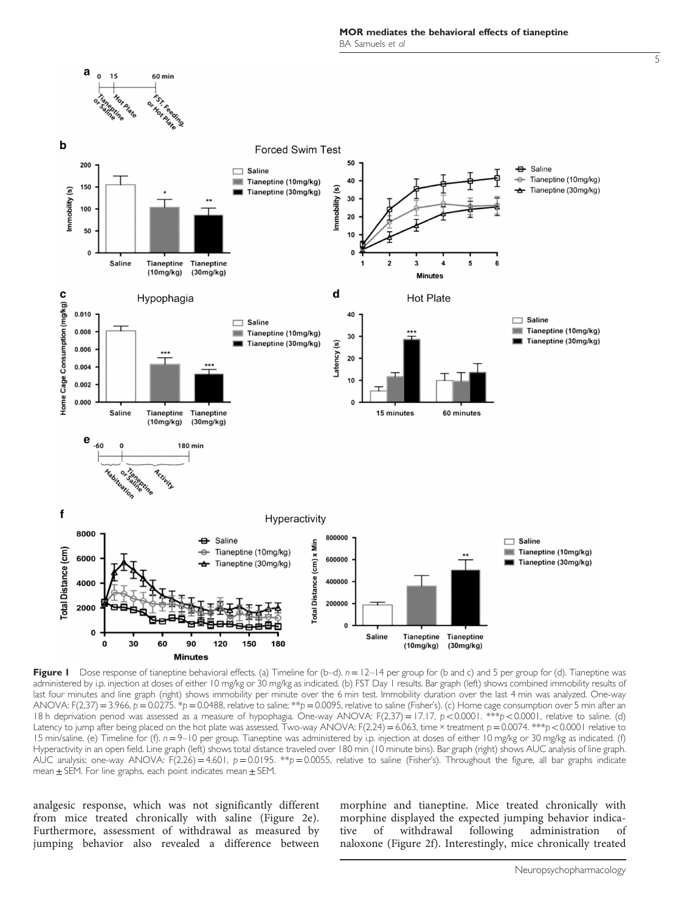MOR mediates the behavioral effects of tianeptine BA Samuels et al

<span id="page-4-0"></span>

Figure I Dose response of tianeptine behavioral effects. (a) Timeline for (b–d).  $n = 12-14$  per group for (b and c) and 5 per group for (d). Tianeptine was administered by i.p. injection at doses of either 10 mg/kg or 30 mg/kg as indicated. (b) FST Day 1 results. Bar graph (left) shows combined immobility results of last four minutes and line graph (right) shows immobility per minute over the 6 min test. Immobility duration over the last 4 min was analyzed. One-way ANOVA: F(2,37) = 3.966,  $p = 0.0275$ . \* $p = 0.0488$ , relative to saline; \*\* $p = 0.0095$ , relative to saline (Fisher's). (c) Home cage consumption over 5 min after an 18 h deprivation period was assessed as a measure of hypophagia. One-way ANOVA:  $F(2,37) = 17.17$ ,  $p < 0.0001$ .  $**p < 0.0001$ , relative to saline. (d) Latency to jump after being placed on the hot plate was assessed. Two-way ANOVA:  $F(2,24) = 6.063$ , time × treatment  $p = 0.0074$ . \*\*\*p < 0.0001 relative to 15 min/saline. (e) Timeline for (f).  $n=9-10$  per group. Tianeptine was administered by i.p. injection at doses of either 10 mg/kg or 30 mg/kg as indicated. (f) Hyperactivity in an open field. Line graph (left) shows total distance traveled over 180 min (10 minute bins). Bar graph (right) shows AUC analysis of line graph. AUC analysis: one-way ANOVA: F(2,26) = 4.601, p = 0.0195. \*\*p = 0.0055, relative to saline (Fisher's). Throughout the figure, all bar graphs indicate mean  $\pm$  SEM. For line graphs, each point indicates mean  $\pm$  SEM.

analgesic response, which was not significantly different from mice treated chronically with saline ([Figure 2e](#page-5-0)). Furthermore, assessment of withdrawal as measured by jumping behavior also revealed a difference between morphine and tianeptine. Mice treated chronically with morphine displayed the expected jumping behavior indicative of withdrawal following administration of naloxone [\(Figure 2f\)](#page-5-0). Interestingly, mice chronically treated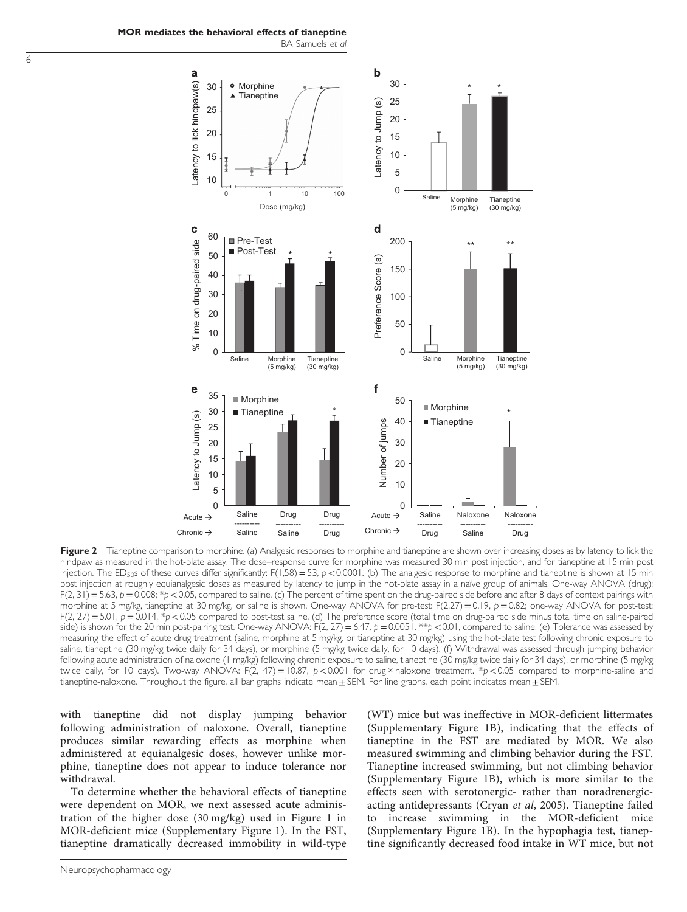<span id="page-5-0"></span>MOR mediates the behavioral effects of tianeptine BA Samuels et al



Figure 2 Tianeptine comparison to morphine. (a) Analgesic responses to morphine and tianeptine are shown over increasing doses as by latency to lick the hindpaw as measured in the hot-plate assay. The dose–response curve for morphine was measured 30 min post injection, and for tianeptine at 15 min post injection. The ED<sub>50</sub>s of these curves differ significantly:  $F(1,58) = 53$ ,  $p < 0.0001$ . (b) The analgesic response to morphine and tianeptine is shown at 15 min post injection at roughly equianalgesic doses as measured by latency to jump in the hot-plate assay in a naïve group of animals. One-way ANOVA (drug):  $F(2, 31) = 5.63$ ,  $p = 0.008$ ; \*p < 0.05, compared to saline. (c) The percent of time spent on the drug-paired side before and after 8 days of context pairings with morphine at 5 mg/kg, tianeptine at 30 mg/kg, or saline is shown. One-way ANOVA for pre-test: F(2,27) = 0.19, p = 0.82; one-way ANOVA for post-test: F(2, 27) = 5.01,  $p = 0.014$ . \*p < 0.05 compared to post-test saline. (d) The preference score (total time on drug-paired side minus total time on saline-paired side) is shown for the 20 min post-pairing test. One-way ANOVA:  $F(2, 27) = 6.47$ ,  $p = 0.0051$ . \*\*p $< 0.01$ , compared to saline. (e) Tolerance was assessed by measuring the effect of acute drug treatment (saline, morphine at 5 mg/kg, or tianeptine at 30 mg/kg) using the hot-plate test following chronic exposure to saline, tianeptine (30 mg/kg twice daily for 34 days), or morphine (5 mg/kg twice daily, for 10 days). (f) Withdrawal was assessed through jumping behavior following acute administration of naloxone (1 mg/kg) following chronic exposure to saline, tianeptine (30 mg/kg twice daily for 34 days), or morphine (5 mg/kg twice daily, for 10 days). Two-way ANOVA: F(2, 47) = 10.87,  $p < 0.001$  for drug × naloxone treatment. \*p<0.05 compared to morphine-saline and tianeptine-naloxone. Throughout the figure, all bar graphs indicate mean  $\pm$  SEM. For line graphs, each point indicates mean  $\pm$  SEM.

with tianeptine did not display jumping behavior following administration of naloxone. Overall, tianeptine produces similar rewarding effects as morphine when administered at equianalgesic doses, however unlike morphine, tianeptine does not appear to induce tolerance nor withdrawal.

To determine whether the behavioral effects of tianeptine were dependent on MOR, we next assessed acute administration of the higher dose (30 mg/kg) used in [Figure 1](#page-4-0) in MOR-deficient mice (Supplementary Figure 1). In the FST, tianeptine dramatically decreased immobility in wild-type (WT) mice but was ineffective in MOR-deficient littermates (Supplementary Figure 1B), indicating that the effects of tianeptine in the FST are mediated by MOR. We also measured swimming and climbing behavior during the FST. Tianeptine increased swimming, but not climbing behavior (Supplementary Figure 1B), which is more similar to the effects seen with serotonergic- rather than noradrenergicacting antidepressants (Cryan et al[, 2005\)](#page-10-0). Tianeptine failed to increase swimming in the MOR-deficient mice (Supplementary Figure 1B). In the hypophagia test, tianeptine significantly decreased food intake in WT mice, but not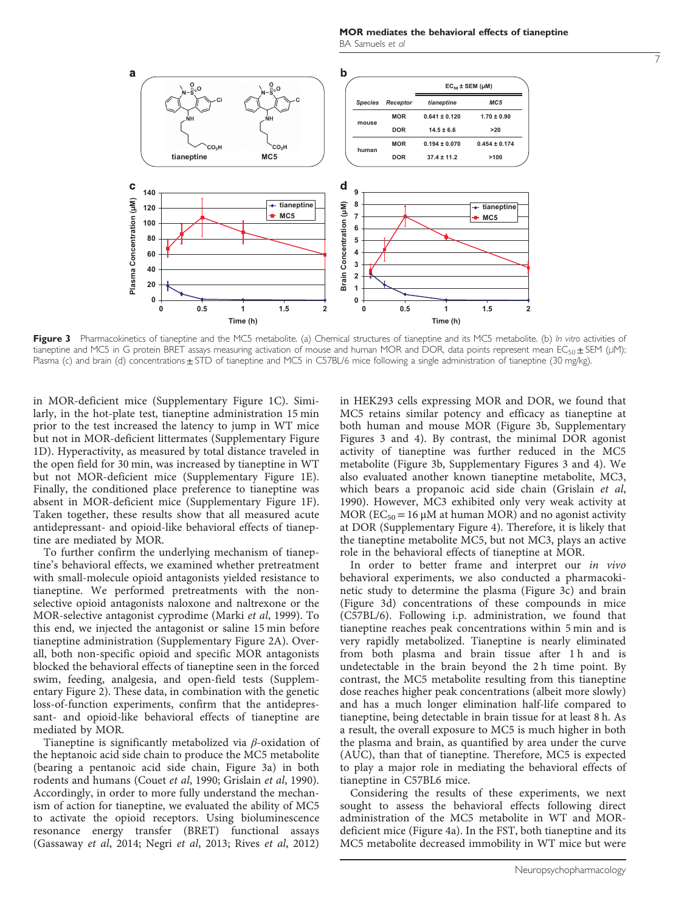MOR mediates the behavioral effects of tianeptine BA Samuels et al

<span id="page-6-0"></span>

Figure 3 Pharmacokinetics of tianeptine and the MC5 metabolite. (a) Chemical structures of tianeptine and its MC5 metabolite. (b) In vitro activities of tianeptine and MC5 in G protein BRET assays measuring activation of mouse and human MOR and DOR, data points represent mean EC<sub>50</sub> ± SEM (μM); Plasma (c) and brain (d) concentrations  $\pm$  STD of tianeptine and MC5 in C57BL/6 mice following a single administration of tianeptine (30 mg/kg).

in MOR-deficient mice (Supplementary Figure 1C). Similarly, in the hot-plate test, tianeptine administration 15 min prior to the test increased the latency to jump in WT mice but not in MOR-deficient littermates (Supplementary Figure 1D). Hyperactivity, as measured by total distance traveled in the open field for 30 min, was increased by tianeptine in WT but not MOR-deficient mice (Supplementary Figure 1E). Finally, the conditioned place preference to tianeptine was absent in MOR-deficient mice (Supplementary Figure 1F). Taken together, these results show that all measured acute antidepressant- and opioid-like behavioral effects of tianeptine are mediated by MOR.

To further confirm the underlying mechanism of tianeptine's behavioral effects, we examined whether pretreatment with small-molecule opioid antagonists yielded resistance to tianeptine. We performed pretreatments with the nonselective opioid antagonists naloxone and naltrexone or the MOR-selective antagonist cyprodime ([Marki](#page-11-0) et al, 1999). To this end, we injected the antagonist or saline 15 min before tianeptine administration (Supplementary Figure 2A). Overall, both non-specific opioid and specific MOR antagonists blocked the behavioral effects of tianeptine seen in the forced swim, feeding, analgesia, and open-field tests (Supplementary Figure 2). These data, in combination with the genetic loss-of-function experiments, confirm that the antidepressant- and opioid-like behavioral effects of tianeptine are mediated by MOR.

Tianeptine is significantly metabolized via β-oxidation of the heptanoic acid side chain to produce the MC5 metabolite (bearing a pentanoic acid side chain, Figure 3a) in both rodents and humans (Couet et al[, 1990; Grislain](#page-10-0) et al, 1990). Accordingly, in order to more fully understand the mechanism of action for tianeptine, we evaluated the ability of MC5 to activate the opioid receptors. Using bioluminescence resonance energy transfer (BRET) functional assays [\(Gassaway](#page-10-0) et al, 2014; Negri et al[, 2013](#page-11-0); Rives et al[, 2012](#page-11-0))

in HEK293 cells expressing MOR and DOR, we found that MC5 retains similar potency and efficacy as tianeptine at both human and mouse MOR (Figure 3b, Supplementary Figures 3 and 4). By contrast, the minimal DOR agonist activity of tianeptine was further reduced in the MC5 metabolite (Figure 3b, Supplementary Figures 3 and 4). We also evaluated another known tianeptine metabolite, MC3, which bears a propanoic acid side chain ([Grislain](#page-10-0) et al, [1990\)](#page-10-0). However, MC3 exhibited only very weak activity at MOR ( $EC_{50}$  = 16  $\mu$ M at human MOR) and no agonist activity at DOR (Supplementary Figure 4). Therefore, it is likely that the tianeptine metabolite MC5, but not MC3, plays an active role in the behavioral effects of tianeptine at MOR.

In order to better frame and interpret our in vivo behavioral experiments, we also conducted a pharmacokinetic study to determine the plasma (Figure 3c) and brain (Figure 3d) concentrations of these compounds in mice (C57BL/6). Following i.p. administration, we found that tianeptine reaches peak concentrations within 5 min and is very rapidly metabolized. Tianeptine is nearly eliminated from both plasma and brain tissue after 1h and is undetectable in the brain beyond the 2 h time point. By contrast, the MC5 metabolite resulting from this tianeptine dose reaches higher peak concentrations (albeit more slowly) and has a much longer elimination half-life compared to tianeptine, being detectable in brain tissue for at least 8 h. As a result, the overall exposure to MC5 is much higher in both the plasma and brain, as quantified by area under the curve (AUC), than that of tianeptine. Therefore, MC5 is expected to play a major role in mediating the behavioral effects of tianeptine in C57BL6 mice.

Considering the results of these experiments, we next sought to assess the behavioral effects following direct administration of the MC5 metabolite in WT and MORdeficient mice ([Figure 4a\)](#page-7-0). In the FST, both tianeptine and its MC5 metabolite decreased immobility in WT mice but were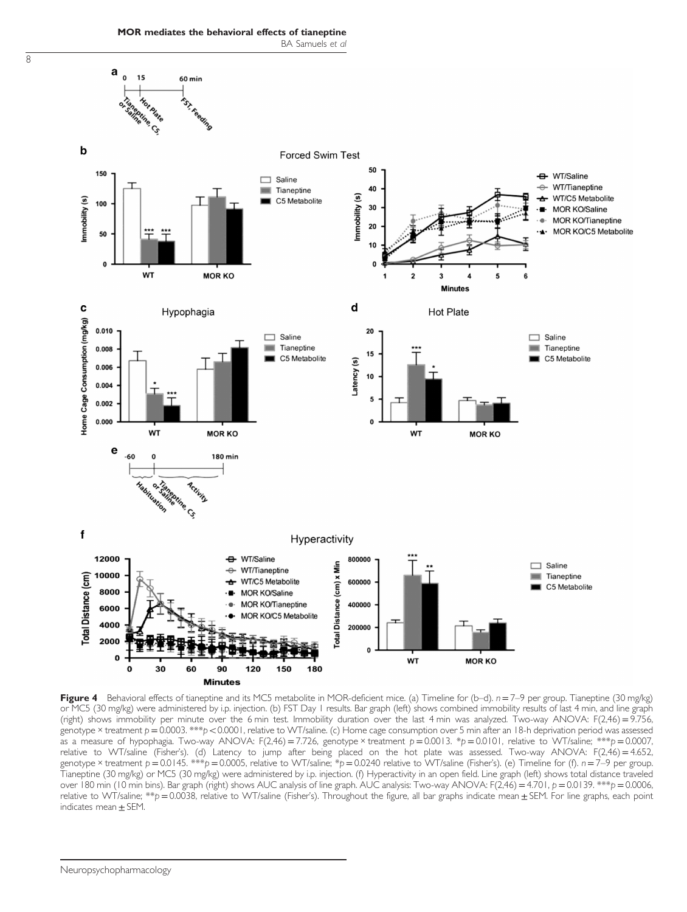MOR mediates the behavioral effects of tianeptine BA Samuels et al

<span id="page-7-0"></span>8



Figure 4 Behavioral effects of tianeptine and its MC5 metabolite in MOR-deficient mice. (a) Timeline for (b-d).  $n = 7-9$  per group. Tianeptine (30 mg/kg) or MC5 (30 mg/kg) were administered by i.p. injection. (b) FST Day 1 results. Bar graph (left) shows combined immobility results of last 4 min, and line graph (right) shows immobility per minute over the 6 min test. Immobility duration over the last 4 min was analyzed. Two-way ANOVA: F(2,46) =9.756, genotype × treatment  $p = 0.0003$ . \*\*\*p < 0.0001, relative to WT/saline. (c) Home cage consumption over 5 min after an 18-h deprivation period was assessed as a measure of hypophagia. Two-way ANOVA: F(2,46) = 7.726, genotype × treatment  $p = 0.0013$ . \*p = 0.0101, relative to WT/saline; \*\*\*p = 0.0007, relative to WT/saline (Fisher's). (d) Latency to jump after being placed on the hot plate was assessed. Two-way ANOVA: F(2,46) = 4.652, genotype × treatment  $p = 0.0145$ . \*\*\* $p = 0.0005$ , relative to WT/saline; \* $p = 0.0240$  relative to WT/saline (Fisher's). (e) Timeline for (f).  $n = 7-9$  per group. Tianeptine (30 mg/kg) or MC5 (30 mg/kg) were administered by i.p. injection. (f) Hyperactivity in an open field. Line graph (left) shows total distance traveled over 180 min (10 min bins). Bar graph (right) shows AUC analysis of line graph. AUC analysis: Two-way ANOVA: F(2,46) = 4.701, p = 0.0139. \*\*\*p = 0.0006, relative to WT/saline; \*\*p = 0.0038, relative to WT/saline (Fisher's). Throughout the figure, all bar graphs indicate mean  $\pm$  SEM. For line graphs, each point indicates mean  $\pm$  SEM.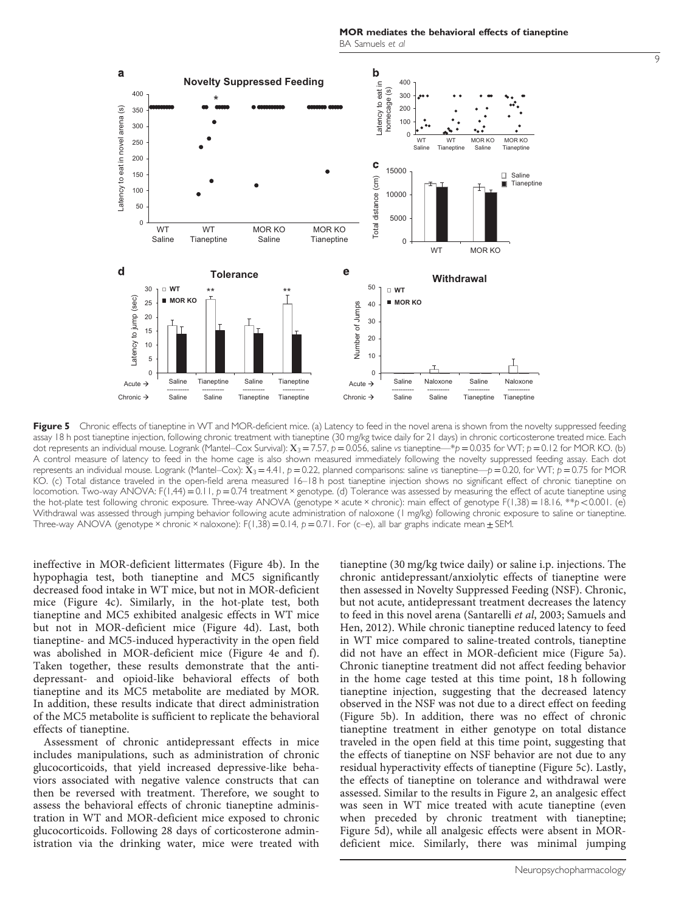9

<span id="page-8-0"></span>

Figure 5 Chronic effects of tianeptine in WT and MOR-deficient mice. (a) Latency to feed in the novel arena is shown from the novelty suppressed feeding assay 18 h post tianeptine injection, following chronic treatment with tianeptine (30 mg/kg twice daily for 21 days) in chronic corticosterone treated mice. Each dot represents an individual mouse. Logrank (Mantel–Cox Survival):  $X_3 = 7.57$ ,  $p = 0.056$ , saline vs tianeptine—\*p=0.035 for WT;  $p = 0.12$  for MOR KO. (b) A control measure of latency to feed in the home cage is also shown measured immediately following the novelty suppressed feeding assay. Each dot represents an individual mouse. Logrank (Mantel–Cox):  $\bar{X}_3$  = 4.41, p = 0.22, planned comparisons: saline vs tianeptine—p = 0.20, for WT; p = 0.75 for MOR KO. (c) Total distance traveled in the open-field arena measured 16–18 h post tianeptine injection shows no significant effect of chronic tianeptine on locomotion. Two-way ANOVA: F(1,44)=0.11, p=0.74 treatment × genotype. (d) Tolerance was assessed by measuring the effect of acute tianeptine using the hot-plate test following chronic exposure. Three-way ANOVA (genotype × acute × chronic): main effect of genotype F(1,38) = 18.16, \*\*p < 0.001. (e) Withdrawal was assessed through jumping behavior following acute administration of naloxone (1 mg/kg) following chronic exposure to saline or tianeptine. Three-way ANOVA (genotype × chronic × naloxone):  $F(1,38) = 0.14$ ,  $p = 0.71$ . For (c–e), all bar graphs indicate mean  $\pm$  SEM.

ineffective in MOR-deficient littermates ([Figure 4b\)](#page-7-0). In the hypophagia test, both tianeptine and MC5 significantly decreased food intake in WT mice, but not in MOR-deficient mice ([Figure 4c](#page-7-0)). Similarly, in the hot-plate test, both tianeptine and MC5 exhibited analgesic effects in WT mice but not in MOR-deficient mice [\(Figure 4d](#page-7-0)). Last, both tianeptine- and MC5-induced hyperactivity in the open field was abolished in MOR-deficient mice ([Figure 4e and f](#page-7-0)). Taken together, these results demonstrate that the antidepressant- and opioid-like behavioral effects of both tianeptine and its MC5 metabolite are mediated by MOR. In addition, these results indicate that direct administration of the MC5 metabolite is sufficient to replicate the behavioral effects of tianeptine.

Assessment of chronic antidepressant effects in mice includes manipulations, such as administration of chronic glucocorticoids, that yield increased depressive-like behaviors associated with negative valence constructs that can then be reversed with treatment. Therefore, we sought to assess the behavioral effects of chronic tianeptine administration in WT and MOR-deficient mice exposed to chronic glucocorticoids. Following 28 days of corticosterone administration via the drinking water, mice were treated with

tianeptine (30 mg/kg twice daily) or saline i.p. injections. The chronic antidepressant/anxiolytic effects of tianeptine were then assessed in Novelty Suppressed Feeding (NSF). Chronic, but not acute, antidepressant treatment decreases the latency to feed in this novel arena ([Santarelli](#page-11-0) et al, 2003; [Samuels and](#page-11-0) [Hen, 2012](#page-11-0)). While chronic tianeptine reduced latency to feed in WT mice compared to saline-treated controls, tianeptine did not have an effect in MOR-deficient mice (Figure 5a). Chronic tianeptine treatment did not affect feeding behavior in the home cage tested at this time point, 18 h following tianeptine injection, suggesting that the decreased latency observed in the NSF was not due to a direct effect on feeding (Figure 5b). In addition, there was no effect of chronic tianeptine treatment in either genotype on total distance traveled in the open field at this time point, suggesting that the effects of tianeptine on NSF behavior are not due to any residual hyperactivity effects of tianeptine (Figure 5c). Lastly, the effects of tianeptine on tolerance and withdrawal were assessed. Similar to the results in [Figure 2](#page-5-0), an analgesic effect was seen in WT mice treated with acute tianeptine (even when preceded by chronic treatment with tianeptine; Figure 5d), while all analgesic effects were absent in MORdeficient mice. Similarly, there was minimal jumping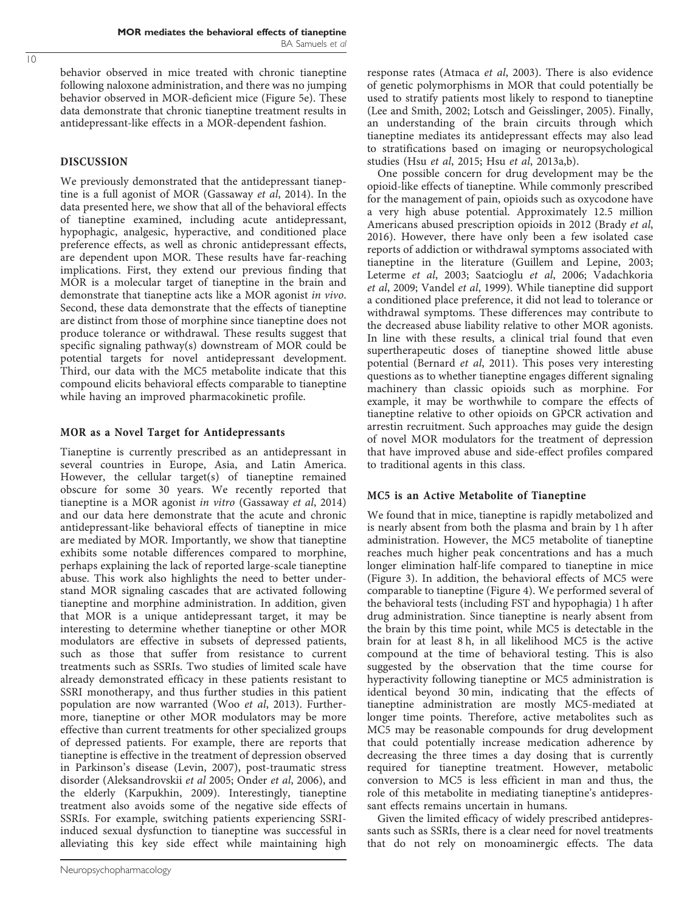behavior observed in mice treated with chronic tianeptine following naloxone administration, and there was no jumping behavior observed in MOR-deficient mice [\(Figure 5e\)](#page-8-0). These data demonstrate that chronic tianeptine treatment results in antidepressant-like effects in a MOR-dependent fashion.

# DISCUSSION

We previously demonstrated that the antidepressant tianeptine is a full agonist of MOR ([Gassaway](#page-10-0) et al, 2014). In the data presented here, we show that all of the behavioral effects of tianeptine examined, including acute antidepressant, hypophagic, analgesic, hyperactive, and conditioned place preference effects, as well as chronic antidepressant effects, are dependent upon MOR. These results have far-reaching implications. First, they extend our previous finding that MOR is a molecular target of tianeptine in the brain and demonstrate that tianeptine acts like a MOR agonist in vivo. Second, these data demonstrate that the effects of tianeptine are distinct from those of morphine since tianeptine does not produce tolerance or withdrawal. These results suggest that specific signaling pathway(s) downstream of MOR could be potential targets for novel antidepressant development. Third, our data with the MC5 metabolite indicate that this compound elicits behavioral effects comparable to tianeptine while having an improved pharmacokinetic profile.

# MOR as a Novel Target for Antidepressants

Tianeptine is currently prescribed as an antidepressant in several countries in Europe, Asia, and Latin America. However, the cellular target(s) of tianeptine remained obscure for some 30 years. We recently reported that tianeptine is a MOR agonist in vitro ([Gassaway](#page-10-0) et al, 2014) and our data here demonstrate that the acute and chronic antidepressant-like behavioral effects of tianeptine in mice are mediated by MOR. Importantly, we show that tianeptine exhibits some notable differences compared to morphine, perhaps explaining the lack of reported large-scale tianeptine abuse. This work also highlights the need to better understand MOR signaling cascades that are activated following tianeptine and morphine administration. In addition, given that MOR is a unique antidepressant target, it may be interesting to determine whether tianeptine or other MOR modulators are effective in subsets of depressed patients, such as those that suffer from resistance to current treatments such as SSRIs. Two studies of limited scale have already demonstrated efficacy in these patients resistant to SSRI monotherapy, and thus further studies in this patient population are now warranted (Woo et al[, 2013](#page-11-0)). Furthermore, tianeptine or other MOR modulators may be more effective than current treatments for other specialized groups of depressed patients. For example, there are reports that tianeptine is effective in the treatment of depression observed in Parkinson's disease [\(Levin, 2007\)](#page-10-0), post-traumatic stress disorder ([Aleksandrovskii](#page-10-0) et al 2005; [Onder](#page-11-0) et al, 2006), and the elderly [\(Karpukhin, 2009\)](#page-10-0). Interestingly, tianeptine treatment also avoids some of the negative side effects of SSRIs. For example, switching patients experiencing SSRIinduced sexual dysfunction to tianeptine was successful in alleviating this key side effect while maintaining high

Neuropsychopharmacology

response rates [\(Atmaca](#page-10-0) et al, 2003). There is also evidence of genetic polymorphisms in MOR that could potentially be used to stratify patients most likely to respond to tianeptine ([Lee and Smith, 2002](#page-10-0); [Lotsch and Geisslinger, 2005\)](#page-11-0). Finally, an understanding of the brain circuits through which tianeptine mediates its antidepressant effects may also lead to stratifications based on imaging or neuropsychological studies (Hsu et al[, 2015](#page-10-0); Hsu et al[, 2013a,b](#page-10-0)).

One possible concern for drug development may be the opioid-like effects of tianeptine. While commonly prescribed for the management of pain, opioids such as oxycodone have a very high abuse potential. Approximately 12.5 million Americans abused prescription opioids in 2012 [\(Brady](#page-10-0) et al, [2016](#page-10-0)). However, there have only been a few isolated case reports of addiction or withdrawal symptoms associated with tianeptine in the literature [\(Guillem and Lepine, 2003](#page-10-0); [Leterme](#page-10-0) et al, 2003; [Saatcioglu](#page-11-0) et al, 2006; [Vadachkoria](#page-11-0) et al[, 2009](#page-11-0); [Vandel](#page-11-0) et al, 1999). While tianeptine did support a conditioned place preference, it did not lead to tolerance or withdrawal symptoms. These differences may contribute to the decreased abuse liability relative to other MOR agonists. In line with these results, a clinical trial found that even supertherapeutic doses of tianeptine showed little abuse potential ([Bernard](#page-10-0) et al, 2011). This poses very interesting questions as to whether tianeptine engages different signaling machinery than classic opioids such as morphine. For example, it may be worthwhile to compare the effects of tianeptine relative to other opioids on GPCR activation and arrestin recruitment. Such approaches may guide the design of novel MOR modulators for the treatment of depression that have improved abuse and side-effect profiles compared to traditional agents in this class.

# MC5 is an Active Metabolite of Tianeptine

We found that in mice, tianeptine is rapidly metabolized and is nearly absent from both the plasma and brain by 1 h after administration. However, the MC5 metabolite of tianeptine reaches much higher peak concentrations and has a much longer elimination half-life compared to tianeptine in mice ([Figure 3](#page-6-0)). In addition, the behavioral effects of MC5 were comparable to tianeptine [\(Figure 4](#page-7-0)). We performed several of the behavioral tests (including FST and hypophagia) 1 h after drug administration. Since tianeptine is nearly absent from the brain by this time point, while MC5 is detectable in the brain for at least 8 h, in all likelihood MC5 is the active compound at the time of behavioral testing. This is also suggested by the observation that the time course for hyperactivity following tianeptine or MC5 administration is identical beyond 30 min, indicating that the effects of tianeptine administration are mostly MC5-mediated at longer time points. Therefore, active metabolites such as MC5 may be reasonable compounds for drug development that could potentially increase medication adherence by decreasing the three times a day dosing that is currently required for tianeptine treatment. However, metabolic conversion to MC5 is less efficient in man and thus, the role of this metabolite in mediating tianeptine's antidepressant effects remains uncertain in humans.

Given the limited efficacy of widely prescribed antidepressants such as SSRIs, there is a clear need for novel treatments that do not rely on monoaminergic effects. The data

 $\overline{10}$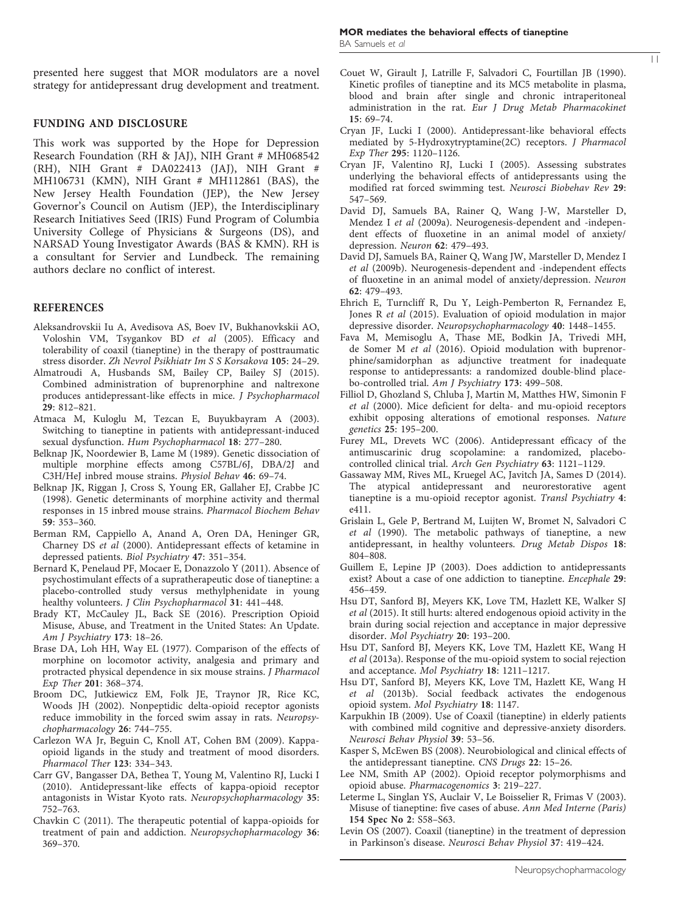<span id="page-10-0"></span>presented here suggest that MOR modulators are a novel strategy for antidepressant drug development and treatment.

#### FUNDING AND DISCLOSURE

This work was supported by the Hope for Depression Research Foundation (RH & JAJ), NIH Grant # MH068542 (RH), NIH Grant # DA022413 (JAJ), NIH Grant # MH106731 (KMN), NIH Grant # MH112861 (BAS), the New Jersey Health Foundation (JEP), the New Jersey Governor's Council on Autism (JEP), the Interdisciplinary Research Initiatives Seed (IRIS) Fund Program of Columbia University College of Physicians & Surgeons (DS), and NARSAD Young Investigator Awards (BAS & KMN). RH is a consultant for Servier and Lundbeck. The remaining authors declare no conflict of interest.

## REFERENCES

- Aleksandrovskii Iu A, Avedisova AS, Boev IV, Bukhanovkskii AO, Voloshin VM, Tsygankov BD et al (2005). Efficacy and tolerability of coaxil (tianeptine) in the therapy of posttraumatic stress disorder. Zh Nevrol Psikhiatr Im S S Korsakova 105: 24–29.
- Almatroudi A, Husbands SM, Bailey CP, Bailey SJ (2015). Combined administration of buprenorphine and naltrexone produces antidepressant-like effects in mice. J Psychopharmacol 29: 812–821.
- Atmaca M, Kuloglu M, Tezcan E, Buyukbayram A (2003). Switching to tianeptine in patients with antidepressant-induced sexual dysfunction. Hum Psychopharmacol 18: 277–280.
- Belknap JK, Noordewier B, Lame M (1989). Genetic dissociation of multiple morphine effects among C57BL/6J, DBA/2J and C3H/HeJ inbred mouse strains. Physiol Behav 46: 69–74.
- Belknap JK, Riggan J, Cross S, Young ER, Gallaher EJ, Crabbe JC (1998). Genetic determinants of morphine activity and thermal responses in 15 inbred mouse strains. Pharmacol Biochem Behav 59: 353–360.
- Berman RM, Cappiello A, Anand A, Oren DA, Heninger GR, Charney DS et al (2000). Antidepressant effects of ketamine in depressed patients. Biol Psychiatry 47: 351–354.
- Bernard K, Penelaud PF, Mocaer E, Donazzolo Y (2011). Absence of psychostimulant effects of a supratherapeutic dose of tianeptine: a placebo-controlled study versus methylphenidate in young healthy volunteers. J Clin Psychopharmacol 31: 441-448.
- Brady KT, McCauley JL, Back SE (2016). Prescription Opioid Misuse, Abuse, and Treatment in the United States: An Update. Am J Psychiatry 173: 18–26.
- Brase DA, Loh HH, Way EL (1977). Comparison of the effects of morphine on locomotor activity, analgesia and primary and protracted physical dependence in six mouse strains. J Pharmacol Exp Ther 201: 368–374.
- Broom DC, Jutkiewicz EM, Folk JE, Traynor JR, Rice KC, Woods JH (2002). Nonpeptidic delta-opioid receptor agonists reduce immobility in the forced swim assay in rats. Neuropsychopharmacology 26: 744–755.
- Carlezon WA Jr, Beguin C, Knoll AT, Cohen BM (2009). Kappaopioid ligands in the study and treatment of mood disorders. Pharmacol Ther 123: 334–343.
- Carr GV, Bangasser DA, Bethea T, Young M, Valentino RJ, Lucki I (2010). Antidepressant-like effects of kappa-opioid receptor antagonists in Wistar Kyoto rats. Neuropsychopharmacology 35: 752–763.
- Chavkin C (2011). The therapeutic potential of kappa-opioids for treatment of pain and addiction. Neuropsychopharmacology 36: 369–370.

Couet W, Girault J, Latrille F, Salvadori C, Fourtillan JB (1990). Kinetic profiles of tianeptine and its MC5 metabolite in plasma, blood and brain after single and chronic intraperitoneal administration in the rat. Eur J Drug Metab Pharmacokinet 15: 69–74.

11

- Cryan JF, Lucki I (2000). Antidepressant-like behavioral effects mediated by 5-Hydroxytryptamine(2C) receptors. J Pharmacol Exp Ther 295: 1120–1126.
- Cryan JF, Valentino RJ, Lucki I (2005). Assessing substrates underlying the behavioral effects of antidepressants using the modified rat forced swimming test. Neurosci Biobehav Rev 29: 547–569.
- David DJ, Samuels BA, Rainer Q, Wang J-W, Marsteller D, Mendez I et al (2009a). Neurogenesis-dependent and -independent effects of fluoxetine in an animal model of anxiety/ depression. Neuron 62: 479–493.
- David DJ, Samuels BA, Rainer Q, Wang JW, Marsteller D, Mendez I et al (2009b). Neurogenesis-dependent and -independent effects of fluoxetine in an animal model of anxiety/depression. Neuron 62: 479–493.
- Ehrich E, Turncliff R, Du Y, Leigh-Pemberton R, Fernandez E, Jones R et al (2015). Evaluation of opioid modulation in major depressive disorder. Neuropsychopharmacology 40: 1448–1455.
- Fava M, Memisoglu A, Thase ME, Bodkin JA, Trivedi MH, de Somer M et al (2016). Opioid modulation with buprenorphine/samidorphan as adjunctive treatment for inadequate response to antidepressants: a randomized double-blind placebo-controlled trial. Am J Psychiatry 173: 499–508.
- Filliol D, Ghozland S, Chluba J, Martin M, Matthes HW, Simonin F et al (2000). Mice deficient for delta- and mu-opioid receptors exhibit opposing alterations of emotional responses. Nature genetics 25: 195–200.
- Furey ML, Drevets WC (2006). Antidepressant efficacy of the antimuscarinic drug scopolamine: a randomized, placebocontrolled clinical trial. Arch Gen Psychiatry 63: 1121–1129.
- Gassaway MM, Rives ML, Kruegel AC, Javitch JA, Sames D (2014). The atypical antidepressant and neurorestorative agent tianeptine is a mu-opioid receptor agonist. Transl Psychiatry 4: e411.
- Grislain L, Gele P, Bertrand M, Luijten W, Bromet N, Salvadori C et al (1990). The metabolic pathways of tianeptine, a new antidepressant, in healthy volunteers. Drug Metab Dispos 18: 804–808.
- Guillem E, Lepine JP (2003). Does addiction to antidepressants exist? About a case of one addiction to tianeptine. Encephale 29: 456–459.
- Hsu DT, Sanford BJ, Meyers KK, Love TM, Hazlett KE, Walker SJ et al (2015). It still hurts: altered endogenous opioid activity in the brain during social rejection and acceptance in major depressive disorder. Mol Psychiatry 20: 193–200.
- Hsu DT, Sanford BJ, Meyers KK, Love TM, Hazlett KE, Wang H et al (2013a). Response of the mu-opioid system to social rejection and acceptance. Mol Psychiatry 18: 1211–1217.
- Hsu DT, Sanford BJ, Meyers KK, Love TM, Hazlett KE, Wang H et al (2013b). Social feedback activates the endogenous opioid system. Mol Psychiatry 18: 1147.
- Karpukhin IB (2009). Use of Coaxil (tianeptine) in elderly patients with combined mild cognitive and depressive-anxiety disorders. Neurosci Behav Physiol 39: 53–56.
- Kasper S, McEwen BS (2008). Neurobiological and clinical effects of the antidepressant tianeptine. CNS Drugs 22: 15–26.
- Lee NM, Smith AP (2002). Opioid receptor polymorphisms and opioid abuse. Pharmacogenomics 3: 219–227.
- Leterme L, Singlan YS, Auclair V, Le Boisselier R, Frimas V (2003). Misuse of tianeptine: five cases of abuse. Ann Med Interne (Paris) 154 Spec No 2: S58–S63.
- Levin OS (2007). Coaxil (tianeptine) in the treatment of depression in Parkinson's disease. Neurosci Behav Physiol 37: 419–424.